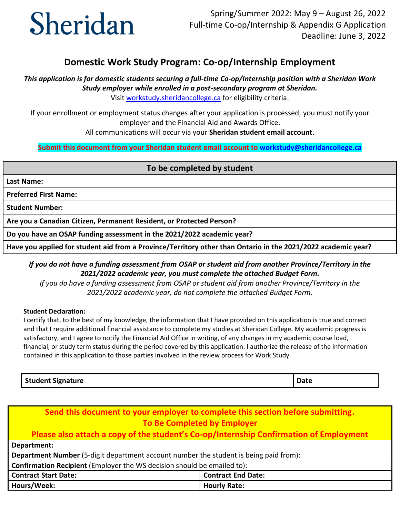# Sheridan

# **Domestic Work Study Program: Co-op/Internship Employment**

 *Study employer while enrolled in a post-secondary program at Sheridan. This application is for domestic students securing a full-time Co-op/Internship position with a Sheridan Work* 

Visit [workstudy.sheridancollege.ca f](https://www.sheridancollege.ca/admissions/financial-aid-and-awards/work-study-assistance.aspx)or eligibility criteria.

 If your enrollment or employment status changes after your application is processed, you must notify your employer and the Financial Aid and Awards Office.

All communications will occur via your **Sheridan student email account**.

 **Submit this document from your Sheridan student email account to [workstudy@sheridancollege.ca](mailto:workstudy@sheridancollege.ca)** 

### **To be completed by student**

**Last Name:** 

 **Preferred First Name:** 

 **Student Number:** 

 **Are you a Canadian Citizen, Permanent Resident, or Protected Person?** 

 **Do you have an OSAP funding assessment in the 2021/2022 academic year?** 

 **Have you applied for student aid from a Province/Territory other than Ontario in the 2021/2022 academic year?** 

## *If you do not have a funding assessment from OSAP or student aid from another Province/Territory in the 2021/2022 academic year, you must complete the attached Budget Form.*

 *If you do have a funding assessment from OSAP or student aid from another Province/Territory in the 2021/2022 academic year, do not complete the attached Budget Form.* 

#### **Student Declaration:**

I certify that, to the best of my knowledge, the information that I have provided on this application is true and correct and that I require additional financial assistance to complete my studies at Sheridan College. My academic progress is satisfactory, and I agree to notify the Financial Aid Office in writing, of any changes in my academic course load, financial, or study term status during the period covered by this application. I authorize the release of the information contained in this application to those parties involved in the review process for Work Study.

#### **Student Signature Date 2018 19:00 Date 20:00 Date 20:00 Date 20:00 Date 20:00 Date 20:00 Date 20:00 Date 20:00 Date 20:00 Date 20:00 Date 20:00 Date 20:00 Date 20:00 Date 20:00 Date 20:00 Date 20:00 Date 20:00 Date 20:00**

| Send this document to your employer to complete this section before submitting.              |                           |  |
|----------------------------------------------------------------------------------------------|---------------------------|--|
| <b>To Be Completed by Employer</b>                                                           |                           |  |
| Please also attach a copy of the student's Co-op/Internship Confirmation of Employment       |                           |  |
| Department:                                                                                  |                           |  |
| <b>Department Number</b> (5-digit department account number the student is being paid from): |                           |  |
| Confirmation Recipient (Employer the WS decision should be emailed to):                      |                           |  |
| <b>Contract Start Date:</b>                                                                  | <b>Contract End Date:</b> |  |
| Hours/Week:                                                                                  | <b>Hourly Rate:</b>       |  |